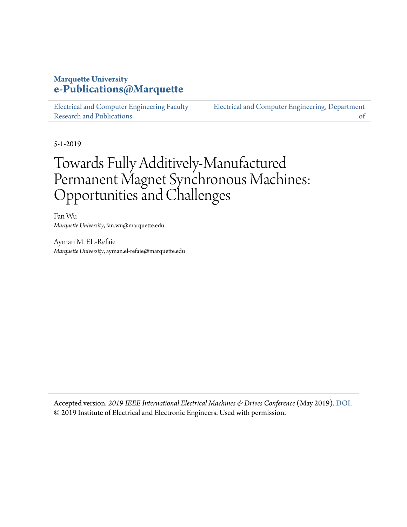## **Marquette University [e-Publications@Marquette](https://epublications.marquette.edu/)**

[Electrical and Computer Engineering Faculty](https://epublications.marquette.edu/electric_fac) [Research and Publications](https://epublications.marquette.edu/electric_fac)

[Electrical and Computer Engineering, Department](https://epublications.marquette.edu/electric) [of](https://epublications.marquette.edu/electric)

5-1-2019

# Towards Fully Additively-Manufactured Permanent Magnet Synchronous Machines: Opportunities and Challenges

Fan Wu *Marquette University*, fan.wu@marquette.edu

Ayman M. EL-Refaie *Marquette University*, ayman.el-refaie@marquette.edu

Accepted version. *2019 IEEE International Electrical Machines & Drives Conference* (May 2019). [DOI](https://dx.doi.org/10.1109/IEMDC.2019.8785210). © 2019 Institute of Electrical and Electronic Engineers. Used with permission.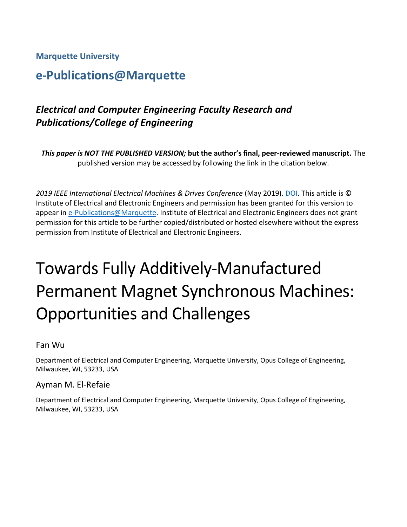### **Marquette University**

# **e-Publications@Marquette**

# *Electrical and Computer Engineering Faculty Research and Publications/College of Engineering*

*This paper is NOT THE PUBLISHED VERSION;* **but the author's final, peer-reviewed manuscript.** The published version may be accessed by following the link in the citation below.

*2019 IEEE International Electrical Machines & Drives Conference* (May 2019). [DOI.](https://dx.doi.org/10.1109/IEMDC.2019.8785210) This article is © Institute of Electrical and Electronic Engineers and permission has been granted for this version to appear i[n e-Publications@Marquette.](http://epublications.marquette.edu/) Institute of Electrical and Electronic Engineers does not grant permission for this article to be further copied/distributed or hosted elsewhere without the express permission from Institute of Electrical and Electronic Engineers.

# Towards Fully Additively-Manufactured Permanent Magnet Synchronous Machines: Opportunities and Challenges

Fan Wu

Department of Electrical and Computer Engineering, Marquette University, Opus College of Engineering, Milwaukee, WI, 53233, USA

### Ayman M. El-Refaie

Department of Electrical and Computer Engineering, Marquette University, Opus College of Engineering, Milwaukee, WI, 53233, USA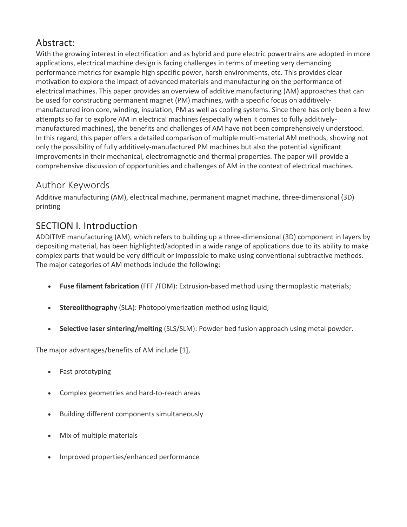# Abstract:

With the growing interest in electrification and as hybrid and pure electric powertrains are adopted in more applications, electrical machine design is facing challenges in terms of meeting very demanding performance metrics for example high specific power, harsh environments, etc. This provides clear motivation to explore the impact of advanced materials and manufacturing on the performance of electrical machines. This paper provides an overview of additive manufacturing (AM) approaches that can be used for constructing permanent magnet (PM) machines, with a specific focus on additivelymanufactured iron core, winding, insulation, PM as well as cooling systems. Since there has only been a few attempts so far to explore AM in electrical machines (especially when it comes to fully additivelymanufactured machines), the benefits and challenges of AM have not been comprehensively understood. In this regard, this paper offers a detailed comparison of multiple multi-material AM methods, showing not only the possibility of fully additively-manufactured PM machines but also the potential significant improvements in their mechanical, electromagnetic and thermal properties. The paper will provide a comprehensive discussion of opportunities and challenges of AM in the context of electrical machines.

# Author Keywords

Additive manufacturing (AM), electrical machine, permanent magnet machine, three-dimensional (3D) printing

# SECTION I. Introduction

ADDITIVE manufacturing (AM), which refers to building up a three-dimensional (3D) component in layers by depositing material, has been highlighted/adopted in a wide range of applications due to its ability to make complex parts that would be very difficult or impossible to make using conventional subtractive methods. The major categories of AM methods include the following:

- **Fuse filament fabrication** (FFF /FDM): Extrusion-based method using thermoplastic materials;
- **Stereolithography** (SLA): Photopolymerization method using liquid;
- **Selective laser sintering/melting** (SLS/SLM): Powder bed fusion approach using metal powder.

The major advantages/benefits of AM include [1],

- Fast prototyping
- Complex geometries and hard-to-reach areas
- Building different components simultaneously
- Mix of multiple materials
- Improved properties/enhanced performance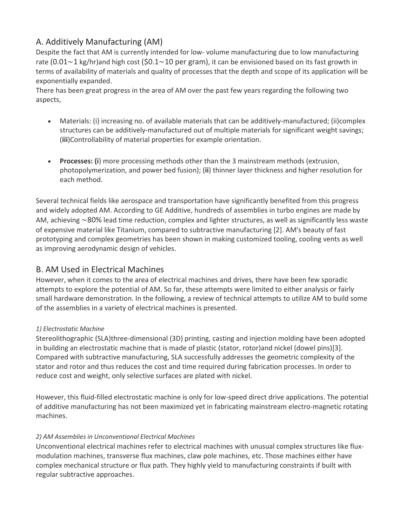### A. Additively Manufacturing (AM)

Despite the fact that AM is currently intended for low- volume manufacturing due to low manufacturing rate (0.01∼1 kg/hr)and high cost (\$0.1∼10 per gram), it can be envisioned based on its fast growth in terms of availability of materials and quality of processes that the depth and scope of its application will be exponentially expanded.

There has been great progress in the area of AM over the past few years regarding the following two aspects,

- Materials: (i) increasing no. of available materials that can be additively-manufactured; (ii)complex structures can be additively-manufactured out of multiple materials for significant weight savings; (**iii**)Controllability of material properties for example orientation.
- **Processes: (i**) more processing methods other than the 3 mainstream methods (extrusion, photopolymerization, and power bed fusion); (**ii**) thinner layer thickness and higher resolution for each method.

Several technical fields like aerospace and transportation have significantly benefited from this progress and widely adopted AM. According to GE Additive, hundreds of assemblies in turbo engines are made by AM, achieving ∼80% lead time reduction, complex and lighter structures, as well as significantly less waste of expensive material like Titanium, compared to subtractive manufacturing [2]. AM's beauty of fast prototyping and complex geometries has been shown in making customized tooling, cooling vents as well as improving aerodynamic design of vehicles.

### B. AM Used in Electrical Machines

However, when it comes to the area of electrical machines and drives, there have been few sporadic attempts to explore the potential of AM. So far, these attempts were limited to either analysis or fairly small hardware demonstration. In the following, a review of technical attempts to utilize AM to build some of the assemblies in a variety of electrical machines is presented.

### *1) Electrostatic Machine*

Stereolithographic (SLA)three-dimensional (3D) printing, casting and injection molding have been adopted in building an electrostatic machine that is made of plastic (stator, rotor)and nickel (dowel pins)[3]. Compared with subtractive manufacturing, SLA successfully addresses the geometric complexity of the stator and rotor and thus reduces the cost and time required during fabrication processes. In order to reduce cost and weight, only selective surfaces are plated with nickel.

However, this fluid-filled electrostatic machine is only for low-speed direct drive applications. The potential of additive manufacturing has not been maximized yet in fabricating mainstream electro-magnetic rotating machines.

### *2) AM Assemblies in Unconventional Electrical Machines*

Unconventional electrical machines refer to electrical machines with unusual complex structures like fluxmodulation machines, transverse flux machines, claw pole machines, etc. Those machines either have complex mechanical structure or flux path. They highly yield to manufacturing constraints if built with regular subtractive approaches.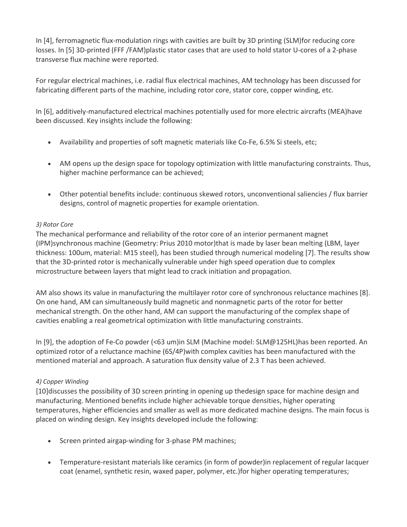In [4], ferromagnetic flux-modulation rings with cavities are built by 3D printing (SLM)for reducing core losses. In [5] 3D-printed (FFF /FAM)plastic stator cases that are used to hold stator U-cores of a 2-phase transverse flux machine were reported.

For regular electrical machines, i.e. radial flux electrical machines, AM technology has been discussed for fabricating different parts of the machine, including rotor core, stator core, copper winding, etc.

In [6], additively-manufactured electrical machines potentially used for more electric aircrafts (MEA)have been discussed. Key insights include the following:

- Availability and properties of soft magnetic materials like Co-Fe, 6.5% Si steels, etc;
- AM opens up the design space for topology optimization with little manufacturing constraints. Thus, higher machine performance can be achieved;
- Other potential benefits include: continuous skewed rotors, unconventional saliencies / flux barrier designs, control of magnetic properties for example orientation.

### *3) Rotor Core*

The mechanical performance and reliability of the rotor core of an interior permanent magnet (IPM)synchronous machine (Geometry: Prius 2010 motor)that is made by laser bean melting (LBM, layer thickness: 100um, material: M15 steel), has been studied through numerical modeling [7]. The results show that the 3D-printed rotor is mechanically vulnerable under high speed operation due to complex microstructure between layers that might lead to crack initiation and propagation.

AM also shows its value in manufacturing the multilayer rotor core of synchronous reluctance machines [8]. On one hand, AM can simultaneously build magnetic and nonmagnetic parts of the rotor for better mechanical strength. On the other hand, AM can support the manufacturing of the complex shape of cavities enabling a real geometrical optimization with little manufacturing constraints.

In [9], the adoption of Fe-Co powder (<63 um)in SLM (Machine model: SLM@125HL)has been reported. An optimized rotor of a reluctance machine (6S/4P)with complex cavities has been manufactured with the mentioned material and approach. A saturation flux density value of 2.3 T has been achieved.

### *4) Copper Winding*

[10]discusses the possibility of 3D screen printing in opening up thedesign space for machine design and manufacturing. Mentioned benefits include higher achievable torque densities, higher operating temperatures, higher efficiencies and smaller as well as more dedicated machine designs. The main focus is placed on winding design. Key insights developed include the following:

- Screen printed airgap-winding for 3-phase PM machines;
- Temperature-resistant materials like ceramics (in form of powder)in replacement of regular lacquer coat (enamel, synthetic resin, waxed paper, polymer, etc.)for higher operating temperatures;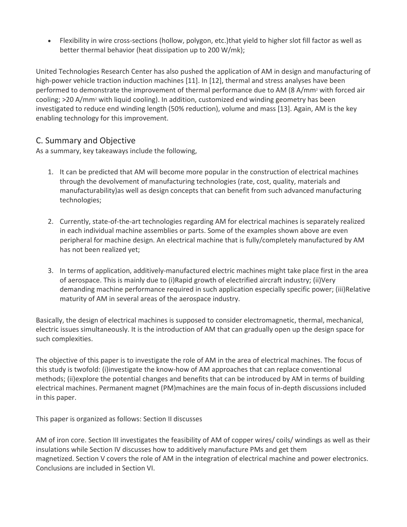• Flexibility in wire cross-sections (hollow, polygon, etc.)that yield to higher slot fill factor as well as better thermal behavior (heat dissipation up to 200 W/mk);

United Technologies Research Center has also pushed the application of AM in design and manufacturing of high-power vehicle traction induction machines [11]. In [12], thermal and stress analyses have been performed to demonstrate the improvement of thermal performance due to AM (8 A/mm<sup>2</sup> with forced air cooling; >20 A/mm2 with liquid cooling). In addition, customized end winding geometry has been investigated to reduce end winding length (50% reduction), volume and mass [13]. Again, AM is the key enabling technology for this improvement.

### C. Summary and Objective

As a summary, key takeaways include the following,

- 1. It can be predicted that AM will become more popular in the construction of electrical machines through the devolvement of manufacturing technologies (rate, cost, quality, materials and manufacturability)as well as design concepts that can benefit from such advanced manufacturing technologies;
- 2. Currently, state-of-the-art technologies regarding AM for electrical machines is separately realized in each individual machine assemblies or parts. Some of the examples shown above are even peripheral for machine design. An electrical machine that is fully/completely manufactured by AM has not been realized yet;
- 3. In terms of application, additively-manufactured electric machines might take place first in the area of aerospace. This is mainly due to (i)Rapid growth of electrified aircraft industry; (ii)Very demanding machine performance required in such application especially specific power; (iii)Relative maturity of AM in several areas of the aerospace industry.

Basically, the design of electrical machines is supposed to consider electromagnetic, thermal, mechanical, electric issues simultaneously. It is the introduction of AM that can gradually open up the design space for such complexities.

The objective of this paper is to investigate the role of AM in the area of electrical machines. The focus of this study is twofold: (i)investigate the know-how of AM approaches that can replace conventional methods; (ii)explore the potential changes and benefits that can be introduced by AM in terms of building electrical machines. Permanent magnet (PM)machines are the main focus of in-depth discussions included in this paper.

This paper is organized as follows: Section II discusses

AM of iron core. Section III investigates the feasibility of AM of copper wires/ coils/ windings as well as their insulations while Section IV discusses how to additively manufacture PMs and get them magnetized. Section V covers the role of AM in the integration of electrical machine and power electronics. Conclusions are included in Section VI.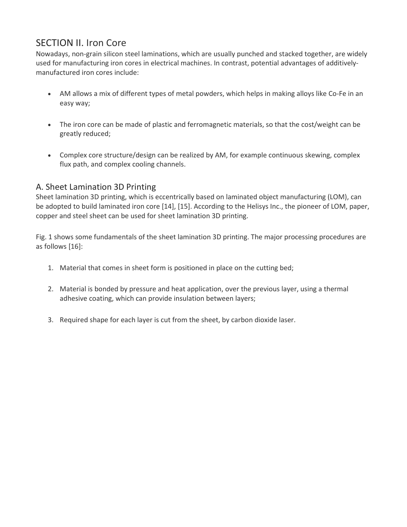# SECTION II. Iron Core

Nowadays, non-grain silicon steel laminations, which are usually punched and stacked together, are widely used for manufacturing iron cores in electrical machines. In contrast, potential advantages of additivelymanufactured iron cores include:

- AM allows a mix of different types of metal powders, which helps in making alloys like Co-Fe in an easy way;
- The iron core can be made of plastic and ferromagnetic materials, so that the cost/weight can be greatly reduced;
- Complex core structure/design can be realized by AM, for example continuous skewing, complex flux path, and complex cooling channels.

### A. Sheet Lamination 3D Printing

Sheet lamination 3D printing, which is eccentrically based on laminated object manufacturing (LOM), can be adopted to build laminated iron core [14], [15]. According to the Helisys Inc., the pioneer of LOM, paper, copper and steel sheet can be used for sheet lamination 3D printing.

Fig. 1 shows some fundamentals of the sheet lamination 3D printing. The major processing procedures are as follows [16]:

- 1. Material that comes in sheet form is positioned in place on the cutting bed;
- 2. Material is bonded by pressure and heat application, over the previous layer, using a thermal adhesive coating, which can provide insulation between layers;
- 3. Required shape for each layer is cut from the sheet, by carbon dioxide laser.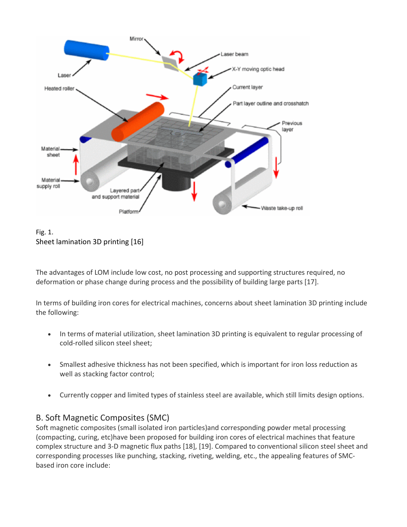



The advantages of LOM include low cost, no post processing and supporting structures required, no deformation or phase change during process and the possibility of building large parts [17].

In terms of building iron cores for electrical machines, concerns about sheet lamination 3D printing include the following:

- In terms of material utilization, sheet lamination 3D printing is equivalent to regular processing of cold-rolled silicon steel sheet;
- Smallest adhesive thickness has not been specified, which is important for iron loss reduction as well as stacking factor control;
- Currently copper and limited types of stainless steel are available, which still limits design options.

### B. Soft Magnetic Composites (SMC)

Soft magnetic composites (small isolated iron particles)and corresponding powder metal processing (compacting, curing, etc)have been proposed for building iron cores of electrical machines that feature complex structure and 3-D magnetic flux paths [18], [19]. Compared to conventional silicon steel sheet and corresponding processes like punching, stacking, riveting, welding, etc., the appealing features of SMCbased iron core include: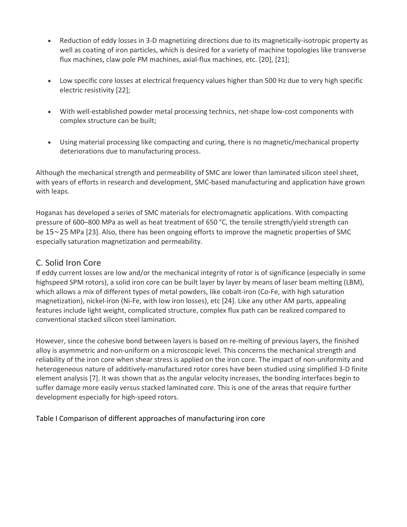- Reduction of eddy losses in 3-D magnetizing directions due to its magnetically-isotropic property as well as coating of iron particles, which is desired for a variety of machine topologies like transverse flux machines, claw pole PM machines, axial-flux machines, etc. [20], [21];
- Low specific core losses at electrical frequency values higher than 500 Hz due to very high specific electric resistivity [22];
- With well-established powder metal processing technics, net-shape low-cost components with complex structure can be built;
- Using material processing like compacting and curing, there is no magnetic/mechanical property deteriorations due to manufacturing process.

Although the mechanical strength and permeability of SMC are lower than laminated silicon steel sheet, with years of efforts in research and development, SMC-based manufacturing and application have grown with leaps.

Hoganas has developed a series of SMC materials for electromagnetic applications. With compacting pressure of 600–800 MPa as well as heat treatment of 650 °C, the tensile strength/yield strength can be 15∼25 MPa [23]. Also, there has been ongoing efforts to improve the magnetic properties of SMC especially saturation magnetization and permeability.

### C. Solid Iron Core

If eddy current losses are low and/or the mechanical integrity of rotor is of significance (especially in some highspeed SPM rotors), a solid iron core can be built layer by layer by means of laser beam melting (LBM), which allows a mix of different types of metal powders, like cobalt-iron (Co-Fe, with high saturation magnetization), nickel-iron (Ni-Fe, with low iron losses), etc [24]. Like any other AM parts, appealing features include light weight, complicated structure, complex flux path can be realized compared to conventional stacked silicon steel lamination.

However, since the cohesive bond between layers is based on re-melting of previous layers, the finished alloy is asymmetric and non-uniform on a microscopic level. This concerns the mechanical strength and reliability of the iron core when shear stress is applied on the iron core. The impact of non-uniformity and heterogeneous nature of additively-manufactured rotor cores have been studied using simplified 3-D finite element analysis [7]. It was shown that as the angular velocity increases, the bonding interfaces begin to suffer damage more easily versus stacked laminated core. This is one of the areas that require further development especially for high-speed rotors.

Table I Comparison of different approaches of manufacturing iron core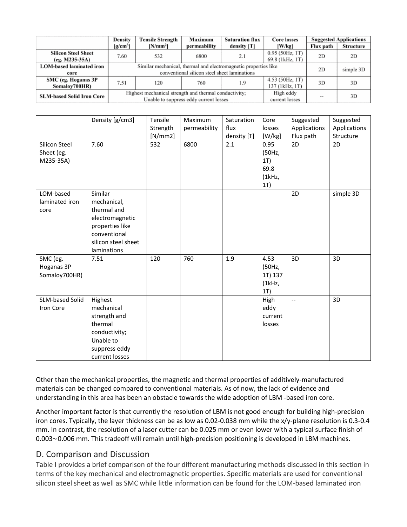|                                  | <b>Tensile Strength</b><br>Density                              |                                                       | Maximum                                | <b>Saturation flux</b> | Core losses       | <b>Suggested Applications</b> |                  |
|----------------------------------|-----------------------------------------------------------------|-------------------------------------------------------|----------------------------------------|------------------------|-------------------|-------------------------------|------------------|
|                                  | [g/cm <sup>3</sup> ]                                            | $[N/mm^2]$                                            | permeability                           | density [T]            | [W/kg]            | Flux path                     | <b>Structure</b> |
| <b>Silicon Steel Sheet</b>       | 7.60                                                            | 532                                                   | 6800                                   | 2.1                    | $0.95$ (50Hz, 1T) | 2D                            | 2D               |
| $(eg. M235-35A)$                 |                                                                 |                                                       |                                        |                        | 69.8 (1kHz, 1T)   |                               |                  |
| <b>LOM-based laminated iron</b>  | Similar mechanical, thermal and electromagnetic properties like |                                                       |                                        |                        |                   |                               | simple 3D        |
| core                             | conventional silicon steel sheet laminations                    |                                                       |                                        |                        |                   |                               |                  |
| SMC (eg. Hoganas 3P              | 7.51                                                            | 120                                                   | 760                                    | 1.9                    | 4.53 (50Hz, 1T)   | 3D                            | 3D               |
| Somaloy700HR)                    |                                                                 |                                                       |                                        |                        | 137 (1kHz, 1T)    |                               |                  |
| <b>SLM-based Solid Iron Core</b> |                                                                 | Highest mechanical strength and thermal conductivity; |                                        | High eddy              |                   | 3D                            |                  |
|                                  |                                                                 |                                                       | Unable to suppress eddy current losses | current losses         | <b>BELLEY</b>     |                               |                  |

|                                          | Density [g/cm3]                                                                                                                   | Tensile<br>Strength | Maximum<br>permeability | Saturation<br>flux | Core<br>losses                                           | Suggested<br>Applications | Suggested<br>Applications |
|------------------------------------------|-----------------------------------------------------------------------------------------------------------------------------------|---------------------|-------------------------|--------------------|----------------------------------------------------------|---------------------------|---------------------------|
| Silicon Steel<br>Sheet (eg.<br>M235-35A) | 7.60                                                                                                                              | [N/mm2]<br>532      | 6800                    | density [T]<br>2.1 | [W/kg]<br>0.95<br>(50Hz,<br>1T)<br>69.8<br>(1kHz,<br>1T) | Flux path<br>2D           | Structure<br>2D           |
| LOM-based<br>laminated iron<br>core      | Similar<br>mechanical,<br>thermal and<br>electromagnetic<br>properties like<br>conventional<br>silicon steel sheet<br>laminations |                     |                         |                    |                                                          | 2D                        | simple 3D                 |
| SMC (eg.<br>Hoganas 3P<br>Somaloy700HR)  | 7.51                                                                                                                              | 120                 | 760                     | 1.9                | 4.53<br>(50Hz,<br>1T) 137<br>(1kHz,<br>1T)               | 3D                        | 3D                        |
| SLM-based Solid<br>Iron Core             | Highest<br>mechanical<br>strength and<br>thermal<br>conductivity;<br>Unable to<br>suppress eddy<br>current losses                 |                     |                         |                    | High<br>eddy<br>current<br>losses                        | $\overline{\phantom{a}}$  | 3D                        |

Other than the mechanical properties, the magnetic and thermal properties of additively-manufactured materials can be changed compared to conventional materials. As of now, the lack of evidence and understanding in this area has been an obstacle towards the wide adoption of LBM -based iron core.

Another important factor is that currently the resolution of LBM is not good enough for building high-precision iron cores. Typically, the layer thickness can be as low as 0.02-0.038 mm while the x/y-plane resolution is 0.3-0.4 mm. In contrast, the resolution of a laser cutter can be 0.025 mm or even lower with a typical surface finish of 0.003∼0.006 mm. This tradeoff will remain until high-precision positioning is developed in LBM machines.

### D. Comparison and Discussion

Table I provides a brief comparison of the four different manufacturing methods discussed in this section in terms of the key mechanical and electromagnetic properties. Specific materials are used for conventional silicon steel sheet as well as SMC while little information can be found for the LOM-based laminated iron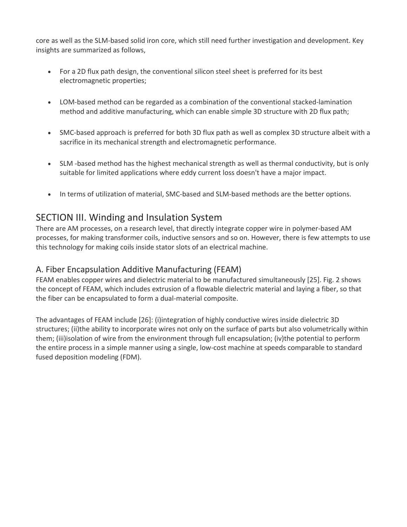core as well as the SLM-based solid iron core, which still need further investigation and development. Key insights are summarized as follows,

- For a 2D flux path design, the conventional silicon steel sheet is preferred for its best electromagnetic properties;
- LOM-based method can be regarded as a combination of the conventional stacked-lamination method and additive manufacturing, which can enable simple 3D structure with 2D flux path;
- SMC-based approach is preferred for both 3D flux path as well as complex 3D structure albeit with a sacrifice in its mechanical strength and electromagnetic performance.
- SLM -based method has the highest mechanical strength as well as thermal conductivity, but is only suitable for limited applications where eddy current loss doesn't have a major impact.
- In terms of utilization of material, SMC-based and SLM-based methods are the better options.

# SECTION III. Winding and Insulation System

There are AM processes, on a research level, that directly integrate copper wire in polymer-based AM processes, for making transformer coils, inductive sensors and so on. However, there is few attempts to use this technology for making coils inside stator slots of an electrical machine.

### A. Fiber Encapsulation Additive Manufacturing (FEAM)

FEAM enables copper wires and dielectric material to be manufactured simultaneously [25]. Fig. 2 shows the concept of FEAM, which includes extrusion of a flowable dielectric material and laying a fiber, so that the fiber can be encapsulated to form a dual-material composite.

The advantages of FEAM include [26]: (i)integration of highly conductive wires inside dielectric 3D structures; (ii)the ability to incorporate wires not only on the surface of parts but also volumetrically within them; (iii)isolation of wire from the environment through full encapsulation; (iv)the potential to perform the entire process in a simple manner using a single, low-cost machine at speeds comparable to standard fused deposition modeling (FDM).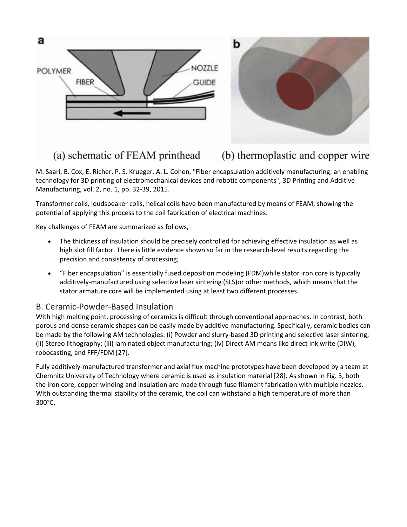

(a) schematic of FEAM printhead (b) thermoplastic and copper wire

M. Saari, B. Cox, E. Richer, P. S. Krueger, A. L. Cohen, "Fiber encapsulation additively manufacturing: an enabling technology for 3D printing of electromechanical devices and robotic components", 3D Printing and Additive Manufacturing, vol. 2, no. 1, pp. 32-39, 2015.

Transformer coils, loudspeaker coils, helical coils have been manufactured by means of FEAM, showing the potential of applying this process to the coil fabrication of electrical machines.

Key challenges of FEAM are summarized as follows,

- The thickness of insulation should be precisely controlled for achieving effective insulation as well as high slot fill factor. There is little evidence shown so far in the research-level results regarding the precision and consistency of processing;
- "Fiber encapsulation" is essentially fused deposition modeling (FDM)while stator iron core is typically additively-manufactured using selective laser sintering (SLS)or other methods, which means that the stator armature core will be implemented using at least two different processes.

### B. Ceramic-Powder-Based Insulation

With high melting point, processing of ceramics is difficult through conventional approaches. In contrast, both porous and dense ceramic shapes can be easily made by additive manufacturing. Specifically, ceramic bodies can be made by the following AM technologies: (i) Powder and slurry-based 3D printing and selective laser sintering; (ii) Stereo lithography; (iii) laminated object manufacturing; (iv) Direct AM means like direct ink write (DIW), robocasting, and FFF/FDM [27].

Fully additively-manufactured transformer and axial flux machine prototypes have been developed by a team at Chemnitz University of Technology where ceramic is used as insulation material [28]. As shown in Fig. 3, both the iron core, copper winding and insulation are made through fuse filament fabrication with multiple nozzles. With outstanding thermal stability of the ceramic, the coil can withstand a high temperature of more than 300°C.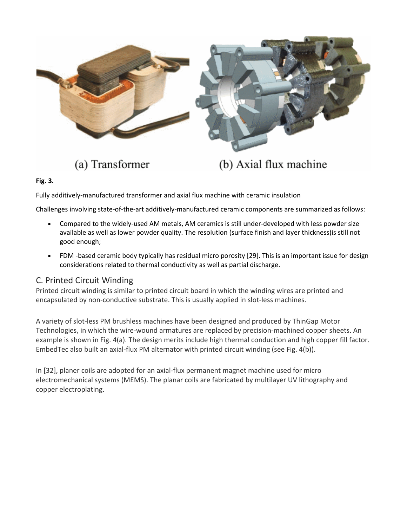

(a) Transformer

(b) Axial flux machine

**Fig. 3.**

Fully additively-manufactured transformer and axial flux machine with ceramic insulation

Challenges involving state-of-the-art additively-manufactured ceramic components are summarized as follows:

- Compared to the widely-used AM metals, AM ceramics is still under-developed with less powder size available as well as lower powder quality. The resolution (surface finish and layer thickness)is still not good enough;
- FDM -based ceramic body typically has residual micro porosity [29]. This is an important issue for design considerations related to thermal conductivity as well as partial discharge.

### C. Printed Circuit Winding

Printed circuit winding is similar to printed circuit board in which the winding wires are printed and encapsulated by non-conductive substrate. This is usually applied in slot-less machines.

A variety of slot-less PM brushless machines have been designed and produced by ThinGap Motor Technologies, in which the wire-wound armatures are replaced by precision-machined copper sheets. An example is shown in Fig. 4(a). The design merits include high thermal conduction and high copper fill factor. EmbedTec also built an axial-flux PM alternator with printed circuit winding (see Fig. 4(b)).

In [32], planer coils are adopted for an axial-flux permanent magnet machine used for micro electromechanical systems (MEMS). The planar coils are fabricated by multilayer UV lithography and copper electroplating.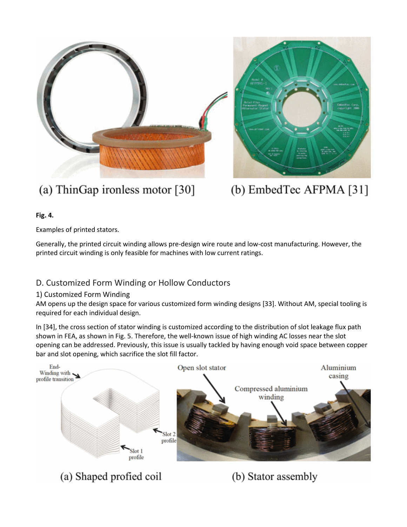

# (a) ThinGap ironless motor [30]

# (b) EmbedTec AFPMA [31]

(b) Stator assembly

### **Fig. 4.**

Examples of printed stators.

Generally, the printed circuit winding allows pre-design wire route and low-cost manufacturing. However, the printed circuit winding is only feasible for machines with low current ratings.

## D. Customized Form Winding or Hollow Conductors

### 1) Customized Form Winding

AM opens up the design space for various customized form winding designs [33]. Without AM, special tooling is required for each individual design.

In [34], the cross section of stator winding is customized according to the distribution of slot leakage flux path shown in FEA, as shown in Fig. 5. Therefore, the well-known issue of high winding AC losses near the slot opening can be addressed. Previously, this issue is usually tackled by having enough void space between copper bar and slot opening, which sacrifice the slot fill factor.



(a) Shaped profied coil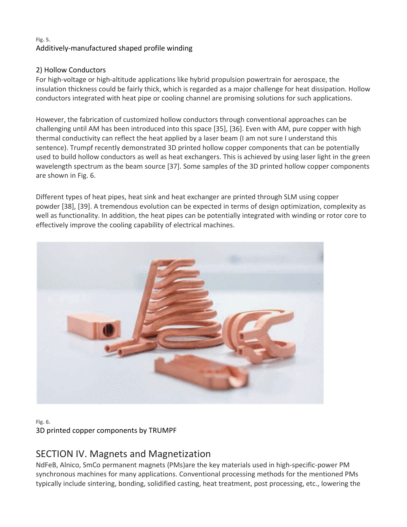### **Fig. 5.** Additively-manufactured shaped profile winding

### 2) Hollow Conductors

For high-voltage or high-altitude applications like hybrid propulsion powertrain for aerospace, the insulation thickness could be fairly thick, which is regarded as a major challenge for heat dissipation. Hollow conductors integrated with heat pipe or cooling channel are promising solutions for such applications.

However, the fabrication of customized hollow conductors through conventional approaches can be challenging until AM has been introduced into this space [35], [36]. Even with AM, pure copper with high thermal conductivity can reflect the heat applied by a laser beam (I am not sure I understand this sentence). Trumpf recently demonstrated 3D printed hollow copper components that can be potentially used to build hollow conductors as well as heat exchangers. This is achieved by using laser light in the green wavelength spectrum as the beam source [37]. Some samples of the 3D printed hollow copper components are shown in Fig. 6.

Different types of heat pipes, heat sink and heat exchanger are printed through SLM using copper powder [38], [39]. A tremendous evolution can be expected in terms of design optimization, complexity as well as functionality. In addition, the heat pipes can be potentially integrated with winding or rotor core to effectively improve the cooling capability of electrical machines.



### **Fig. 6.** 3D printed copper components by TRUMPF

# SECTION IV. Magnets and Magnetization

NdFeB, Alnico, SmCo permanent magnets (PMs)are the key materials used in high-specific-power PM synchronous machines for many applications. Conventional processing methods for the mentioned PMs typically include sintering, bonding, solidified casting, heat treatment, post processing, etc., lowering the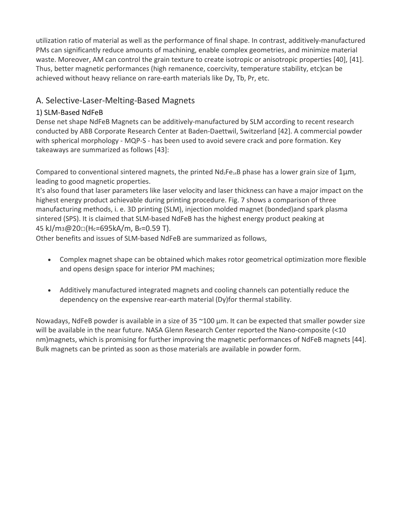utilization ratio of material as well as the performance of final shape. In contrast, additively-manufactured PMs can significantly reduce amounts of machining, enable complex geometries, and minimize material waste. Moreover, AM can control the grain texture to create isotropic or anisotropic properties [40], [41]. Thus, better magnetic performances (high remanence, coercivity, temperature stability, etc)can be achieved without heavy reliance on rare-earth materials like Dy, Tb, Pr, etc.

### A. Selective-Laser-Melting-Based Magnets

### 1) SLM-Based NdFeB

Dense net shape NdFeB Magnets can be additively-manufactured by SLM according to recent research conducted by ABB Corporate Research Center at Baden-Daettwil, Switzerland [42]. A commercial powder with spherical morphology - MQP-S - has been used to avoid severe crack and pore formation. Key takeaways are summarized as follows [43]:

Compared to conventional sintered magnets, the printed  $N d_2Fe_{14}B$  phase has a lower grain size of 1 $\mu$ m, leading to good magnetic properties.

It's also found that laser parameters like laser velocity and laser thickness can have a major impact on the highest energy product achievable during printing procedure. Fig. 7 shows a comparison of three manufacturing methods, i. e. 3D printing (SLM), injection molded magnet (bonded)and spark plasma sintered (SPS). It is claimed that SLM-based NdFeB has the highest energy product peaking at 45 kJ/m3@20□(Hc=695kA/m, Br=0.59 T).

Other benefits and issues of SLM-based NdFeB are summarized as follows,

- Complex magnet shape can be obtained which makes rotor geometrical optimization more flexible and opens design space for interior PM machines;
- Additively manufactured integrated magnets and cooling channels can potentially reduce the dependency on the expensive rear-earth material (Dy)for thermal stability.

Nowadays, NdFeB powder is available in a size of 35 ~100 µm. It can be expected that smaller powder size will be available in the near future. NASA Glenn Research Center reported the Nano-composite (<10 nm)magnets, which is promising for further improving the magnetic performances of NdFeB magnets [44]. Bulk magnets can be printed as soon as those materials are available in powder form.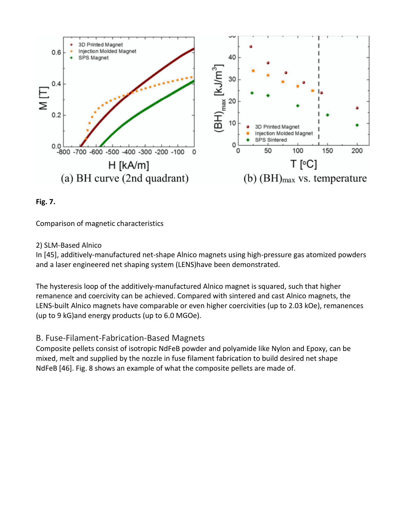



Comparison of magnetic characteristics

### 2) SLM-Based Alnico

In [45], additively-manufactured net-shape Alnico magnets using high-pressure gas atomized powders and a laser engineered net shaping system (LENS)have been demonstrated.

The hysteresis loop of the additively-manufactured Alnico magnet is squared, such that higher remanence and coercivity can be achieved. Compared with sintered and cast Alnico magnets, the LENS-built Alnico magnets have comparable or even higher coercivities (up to 2.03 kOe), remanences (up to 9 kG)and energy products (up to 6.0 MGOe).

### B. Fuse-Filament-Fabrication-Based Magnets

Composite pellets consist of isotropic NdFeB powder and polyamide like Nylon and Epoxy, can be mixed, melt and supplied by the nozzle in fuse filament fabrication to build desired net shape NdFeB [46]. Fig. 8 shows an example of what the composite pellets are made of.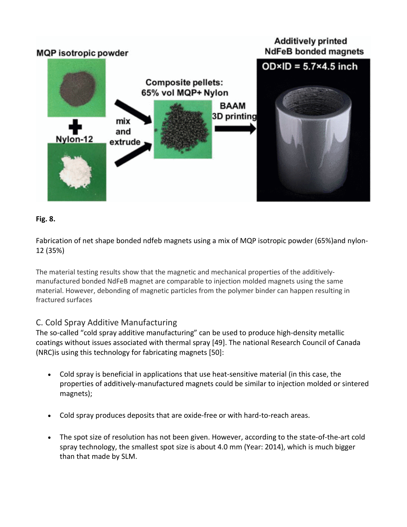



Fabrication of net shape bonded ndfeb magnets using a mix of MQP isotropic powder (65%)and nylon-12 (35%)

The material testing results show that the magnetic and mechanical properties of the additivelymanufactured bonded NdFeB magnet are comparable to injection molded magnets using the same material. However, debonding of magnetic particles from the polymer binder can happen resulting in fractured surfaces

### C. Cold Spray Additive Manufacturing

The so-called "cold spray additive manufacturing" can be used to produce high-density metallic coatings without issues associated with thermal spray [49]. The national Research Council of Canada (NRC)is using this technology for fabricating magnets [50]:

- Cold spray is beneficial in applications that use heat-sensitive material (in this case, the properties of additively-manufactured magnets could be similar to injection molded or sintered magnets);
- Cold spray produces deposits that are oxide-free or with hard-to-reach areas.
- The spot size of resolution has not been given. However, according to the state-of-the-art cold spray technology, the smallest spot size is about 4.0 mm (Year: 2014), which is much bigger than that made by SLM.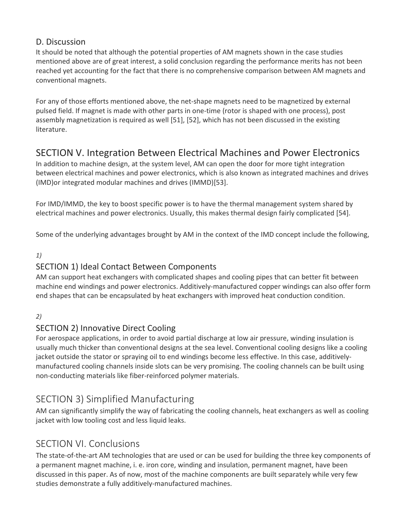### D. Discussion

It should be noted that although the potential properties of AM magnets shown in the case studies mentioned above are of great interest, a solid conclusion regarding the performance merits has not been reached yet accounting for the fact that there is no comprehensive comparison between AM magnets and conventional magnets.

For any of those efforts mentioned above, the net-shape magnets need to be magnetized by external pulsed field. If magnet is made with other parts in one-time (rotor is shaped with one process), post assembly magnetization is required as well [51], [52], which has not been discussed in the existing literature.

# SECTION V. Integration Between Electrical Machines and Power Electronics

In addition to machine design, at the system level, AM can open the door for more tight integration between electrical machines and power electronics, which is also known as integrated machines and drives (IMD)or integrated modular machines and drives (IMMD)[53].

For IMD/IMMD, the key to boost specific power is to have the thermal management system shared by electrical machines and power electronics. Usually, this makes thermal design fairly complicated [54].

Some of the underlying advantages brought by AM in the context of the IMD concept include the following,

### *1)*

# SECTION 1) Ideal Contact Between Components

AM can support heat exchangers with complicated shapes and cooling pipes that can better fit between machine end windings and power electronics. Additively-manufactured copper windings can also offer form end shapes that can be encapsulated by heat exchangers with improved heat conduction condition.

### *2)*

## SECTION 2) Innovative Direct Cooling

For aerospace applications, in order to avoid partial discharge at low air pressure, winding insulation is usually much thicker than conventional designs at the sea level. Conventional cooling designs like a cooling jacket outside the stator or spraying oil to end windings become less effective. In this case, additivelymanufactured cooling channels inside slots can be very promising. The cooling channels can be built using non-conducting materials like fiber-reinforced polymer materials.

# SECTION 3) Simplified Manufacturing

AM can significantly simplify the way of fabricating the cooling channels, heat exchangers as well as cooling jacket with low tooling cost and less liquid leaks.

# SECTION VI. Conclusions

The state-of-the-art AM technologies that are used or can be used for building the three key components of a permanent magnet machine, i. e. iron core, winding and insulation, permanent magnet, have been discussed in this paper. As of now, most of the machine components are built separately while very few studies demonstrate a fully additively-manufactured machines.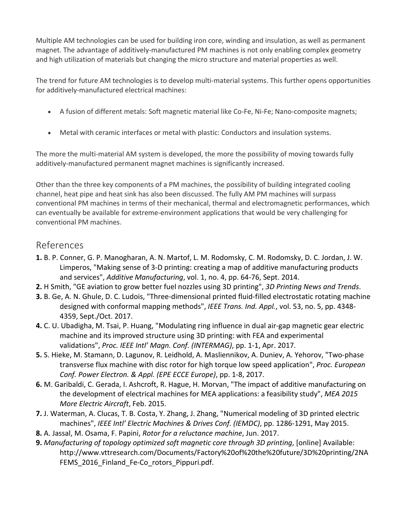Multiple AM technologies can be used for building iron core, winding and insulation, as well as permanent magnet. The advantage of additively-manufactured PM machines is not only enabling complex geometry and high utilization of materials but changing the micro structure and material properties as well.

The trend for future AM technologies is to develop multi-material systems. This further opens opportunities for additively-manufactured electrical machines:

- A fusion of different metals: Soft magnetic material like Co-Fe, Ni-Fe; Nano-composite magnets;
- Metal with ceramic interfaces or metal with plastic: Conductors and insulation systems.

The more the multi-material AM system is developed, the more the possibility of moving towards fully additively-manufactured permanent magnet machines is significantly increased.

Other than the three key components of a PM machines, the possibility of building integrated cooling channel, heat pipe and heat sink has also been discussed. The fully AM PM machines will surpass conventional PM machines in terms of their mechanical, thermal and electromagnetic performances, which can eventually be available for extreme-environment applications that would be very challenging for conventional PM machines.

### References

- **1.** B. P. Conner, G. P. Manogharan, A. N. Martof, L. M. Rodomsky, C. M. Rodomsky, D. C. Jordan, J. W. Limperos, "Making sense of 3-D printing: creating a map of additive manufacturing products and services", *Additive Manufacturing*, vol. 1, no. 4, pp. 64-76, Sept. 2014.
- **2.** H Smith, "GE aviation to grow better fuel nozzles using 3D printing", *3D Printing News and Trends*.
- **3.** B. Ge, A. N. Ghule, D. C. Ludois, "Three-dimensional printed fluid-filled electrostatic rotating machine designed with conformal mapping methods", *IEEE Trans. Ind. Appl.*, vol. 53, no. 5, pp. 4348- 4359, Sept./Oct. 2017.
- **4.** C. U. Ubadigha, M. Tsai, P. Huang, "Modulating ring influence in dual air-gap magnetic gear electric machine and its improved structure using 3D printing: with FEA and experimental validations", *Proc. IEEE Intl' Magn. Conf. (INTERMAG)*, pp. 1-1, Apr. 2017.
- **5.** S. Hieke, M. Stamann, D. Lagunov, R. Leidhold, A. Masliennikov, A. Duniev, A. Yehorov, "Two-phase transverse flux machine with disc rotor for high torque low speed application", *Proc. European Conf. Power Electron. & Appl. (EPE ECCE Europe)*, pp. 1-8, 2017.
- **6.** M. Garibaldi, C. Gerada, I. Ashcroft, R. Hague, H. Morvan, "The impact of additive manufacturing on the development of electrical machines for MEA applications: a feasibility study", *MEA 2015 More Electric Aircraft*, Feb. 2015.
- **7.** J. Waterman, A. Clucas, T. B. Costa, Y. Zhang, J. Zhang, "Numerical modeling of 3D printed electric machines", *IEEE Intl' Electric Machines & Drives Conf. (IEMDC)*, pp. 1286-1291, May 2015.
- **8.** A. Jassal, M. Osama, F. Papini, *Rotor for a reluctance machine*, Jun. 2017.
- **9.** *Manufacturing of topology optimized soft magnetic core through 3D printing*, [online] Available: http://www.vttresearch.com/Documents/Factory%20of%20the%20future/3D%20printing/2NA FEMS\_2016\_Finland\_Fe-Co\_rotors\_Pippuri.pdf.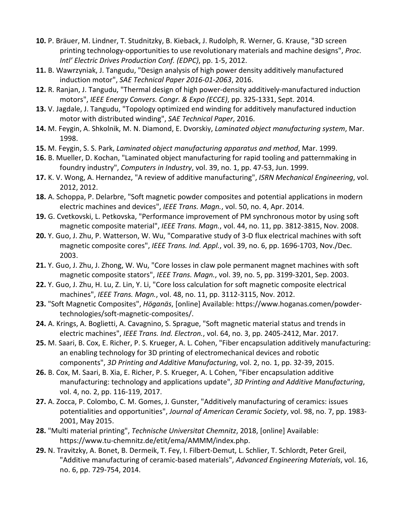- **10.** P. Bräuer, M. Lindner, T. Studnitzky, B. Kieback, J. Rudolph, R. Werner, G. Krause, "3D screen printing technology-opportunities to use revolutionary materials and machine designs", *Proc. Intl' Electric Drives Production Conf. (EDPC)*, pp. 1-5, 2012.
- **11.** B. Wawrzyniak, J. Tangudu, "Design analysis of high power density additively manufactured induction motor", *SAE Technical Paper 2016-01-2063*, 2016.
- **12.** R. Ranjan, J. Tangudu, "Thermal design of high power-density additively-manufactured induction motors", *IEEE Energy Convers. Congr. & Expo (ECCE)*, pp. 325-1331, Sept. 2014.
- **13.** V. Jagdale, J. Tangudu, "Topology optimized end winding for additively manufactured induction motor with distributed winding", *SAE Technical Paper*, 2016.
- **14.** M. Feygin, A. Shkolnik, M. N. Diamond, E. Dvorskiy, *Laminated object manufacturing system*, Mar. 1998.
- **15.** M. Feygin, S. S. Park, *Laminated object manufacturing apparatus and method*, Mar. 1999.
- **16.** B. Mueller, D. Kochan, "Laminated object manufacturing for rapid tooling and patternmaking in foundry industry", *Computers in Industry*, vol. 39, no. 1, pp. 47-53, Jun. 1999.
- **17.** K. V. Wong, A. Hernandez, "A review of additive manufacturing", *ISRN Mechanical Engineering*, vol. 2012, 2012.
- **18.** A. Schoppa, P. Delarbre, "Soft magnetic powder composites and potential applications in modern electric machines and devices", *IEEE Trans. Magn.*, vol. 50, no. 4, Apr. 2014.
- **19.** G. Cvetkovski, L. Petkovska, "Performance improvement of PM synchronous motor by using soft magnetic composite material", *IEEE Trans. Magn.*, vol. 44, no. 11, pp. 3812-3815, Nov. 2008.
- **20.** Y. Guo, J. Zhu, P. Watterson, W. Wu, "Comparative study of 3-D flux electrical machines with soft magnetic composite cores", *IEEE Trans. Ind. Appl.*, vol. 39, no. 6, pp. 1696-1703, Nov./Dec. 2003.
- **21.** Y. Guo, J. Zhu, J. Zhong, W. Wu, "Core losses in claw pole permanent magnet machines with soft magnetic composite stators", *IEEE Trans. Magn.*, vol. 39, no. 5, pp. 3199-3201, Sep. 2003.
- **22.** Y. Guo, J. Zhu, H. Lu, Z. Lin, Y. Li, "Core loss calculation for soft magnetic composite electrical machines", *IEEE Trans. Magn.*, vol. 48, no. 11, pp. 3112-3115, Nov. 2012.
- **23.** "Soft Magnetic Composites", *Höganäs*, [online] Available: https://www.hoganas.comen/powdertechnologies/soft-magnetic-composites/.
- **24.** A. Krings, A. Boglietti, A. Cavagnino, S. Sprague, "Soft magnetic material status and trends in electric machines", *IEEE Trans. Ind. Electron.*, vol. 64, no. 3, pp. 2405-2412, Mar. 2017.
- **25.** M. Saari, B. Cox, E. Richer, P. S. Krueger, A. L. Cohen, "Fiber encapsulation additively manufacturing: an enabling technology for 3D printing of electromechanical devices and robotic components", *3D Printing and Additive Manufacturing*, vol. 2, no. 1, pp. 32-39, 2015.
- **26.** B. Cox, M. Saari, B. Xia, E. Richer, P. S. Krueger, A. L Cohen, "Fiber encapsulation additive manufacturing: technology and applications update", *3D Printing and Additive Manufacturing*, vol. 4, no. 2, pp. 116-119, 2017.
- **27.** A. Zocca, P. Colombo, C. M. Gomes, J. Gunster, "Additively manufacturing of ceramics: issues potentialities and opportunities", *Journal of American Ceramic Society*, vol. 98, no. 7, pp. 1983- 2001, May 2015.
- **28.** "Multi material printing", *Technische Universitat Chemnitz*, 2018, [online] Available: https://www.tu-chemnitz.de/etit/ema/AMMM/index.php.
- **29.** N. Travitzky, A. Bonet, B. Dermeik, T. Fey, I. Filbert-Demut, L. Schlier, T. Schlordt, Peter Greil, "Additive manufacturing of ceramic-based materials", *Advanced Engineering Materials*, vol. 16, no. 6, pp. 729-754, 2014.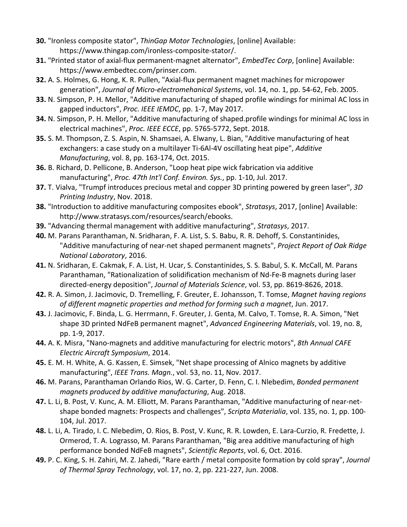- **30.** "Ironless composite stator", *ThinGap Motor Technologies*, [online] Available: https://www.thingap.com/ironless-composite-stator/.
- **31.** "Printed stator of axial-flux permanent-magnet alternator", *EmbedTec Corp*, [online] Available: https://www.embedtec.com/prinser.com.
- **32.** A. S. Holmes, G. Hong, K. R. Pullen, "Axial-flux permanent magnet machines for micropower generation", *Journal of Micro-electromehanical Systems*, vol. 14, no. 1, pp. 54-62, Feb. 2005.
- **33.** N. Simpson, P. H. Mellor, "Additive manufacturing of shaped profile windings for minimal AC loss in gapped inductors", *Proc. IEEE IEMDC*, pp. 1-7, May 2017.
- **34.** N. Simpson, P. H. Mellor, "Additive manufacturing of shaped.profile windings for minimal AC loss in electrical machines", *Proc. IEEE ECCE*, pp. 5765-5772, Sept. 2018.
- **35.** S. M. Thompson, Z. S. Aspin, N. Shamsaei, A. Elwany, L. Bian, "Additive manufacturing of heat exchangers: a case study on a multilayer Ti-6Al-4V oscillating heat pipe", *Additive Manufacturing*, vol. 8, pp. 163-174, Oct. 2015.
- **36.** B. Richard, D. Pellicone, B. Anderson, "Loop heat pipe wick fabrication via additive manufacturing", *Proc. 47th Int'l Conf. Environ. Sys.*, pp. 1-10, Jul. 2017.
- **37.** T. Vialva, "Trumpf introduces precious metal and copper 3D printing powered by green laser", *3D Printing Industry*, Nov. 2018.
- **38.** "Introduction to additive manufacturing composites ebook", *Stratasys*, 2017, [online] Available: http://www.stratasys.com/resources/search/ebooks.
- **39.** "Advancing thermal management with additive manufacturing", *Stratasys*, 2017.
- **40.** M. Parans Paranthaman, N. Sridharan, F. A. List, S. S. Babu, R. R. Dehoff, S. Constantinides, "Additive manufacturing of near-net shaped permanent magnets", *Project Report of Oak Ridge National Laboratory*, 2016.
- **41.** N. Sridharan, E. Cakmak, F. A. List, H. Ucar, S. Constantinides, S. S. Babul, S. K. McCall, M. Parans Paranthaman, "Rationalization of solidification mechanism of Nd-Fe-B magnets during laser directed-energy deposition", *Journal of Materials Science*, vol. 53, pp. 8619-8626, 2018.
- **42.** R. A. Simon, J. Jacimovic, D. Tremelling, F. Greuter, E. Johansson, T. Tomse, *Magnet having regions of different magnetic properties and method for forming such a magnet*, Jun. 2017.
- **43.** J. Jacimovic, F. Binda, L. G. Herrmann, F. Greuter, J. Genta, M. Calvo, T. Tomse, R. A. Simon, "Net shape 3D printed NdFeB permanent magnet", *Advanced Engineering Materials*, vol. 19, no. 8, pp. 1-9, 2017.
- **44.** A. K. Misra, "Nano-magnets and additive manufacturing for electric motors", *8th Annual CAFE Electric Aircraft Symposium*, 2014.
- **45.** E. M. H. White, A. G. Kassen, E. Simsek, "Net shape processing of Alnico magnets by additive manufacturing", *IEEE Trans. Magn.*, vol. 53, no. 11, Nov. 2017.
- **46.** M. Parans, Paranthaman Orlando Rios, W. G. Carter, D. Fenn, C. I. Nlebedim, *Bonded permanent magnets produced by additive manufacturing*, Aug. 2018.
- **47.** L. Li, B. Post, V. Kunc, A. M. Elliott, M. Parans Paranthaman, "Additive manufacturing of near-netshape bonded magnets: Prospects and challenges", *Scripta Materialia*, vol. 135, no. 1, pp. 100- 104, Jul. 2017.
- **48.** L. Li, A. Tirado, I. C. Nlebedim, O. Rios, B. Post, V. Kunc, R. R. Lowden, E. Lara-Curzio, R. Fredette, J. Ormerod, T. A. Lograsso, M. Parans Paranthaman, "Big area additive manufacturing of high performance bonded NdFeB magnets", *Scientific Reports*, vol. 6, Oct. 2016.
- **49.** P. C. King, S. H. Zahiri, M. Z. Jahedi, "Rare earth / metal composite formation by cold spray", *Journal of Thermal Spray Technology*, vol. 17, no. 2, pp. 221-227, Jun. 2008.